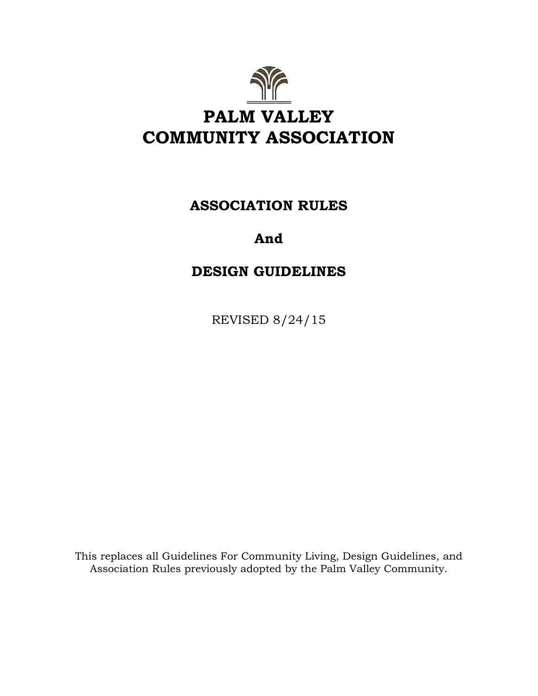

# **ASSOCIATION RULES**

# **And**

# **DESIGN GUIDELINES**

REVISED 8/24/15

This replaces all Guidelines For Community Living, Design Guidelines, and Association Rules previously adopted by the Palm Valley Community.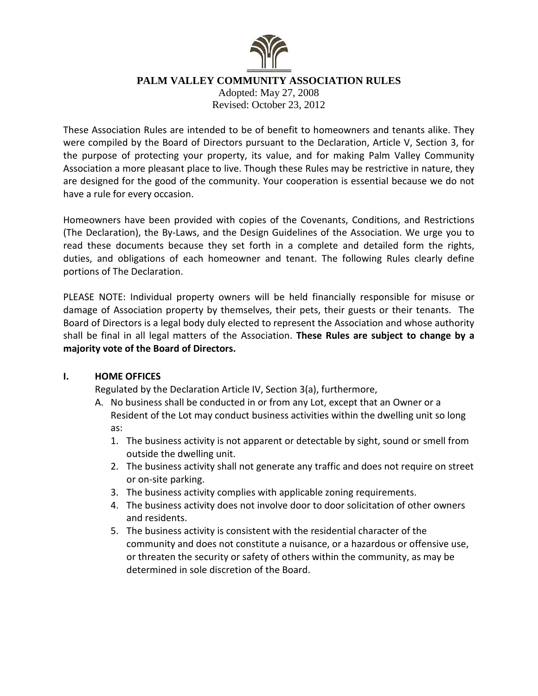

### **PALM VALLEY COMMUNITY ASSOCIATION RULES**

Adopted: May 27, 2008 Revised: October 23, 2012

These Association Rules are intended to be of benefit to homeowners and tenants alike. They were compiled by the Board of Directors pursuant to the Declaration, Article V, Section 3, for the purpose of protecting your property, its value, and for making Palm Valley Community Association a more pleasant place to live. Though these Rules may be restrictive in nature, they are designed for the good of the community. Your cooperation is essential because we do not have a rule for every occasion.

Homeowners have been provided with copies of the Covenants, Conditions, and Restrictions (The Declaration), the By-Laws, and the Design Guidelines of the Association. We urge you to read these documents because they set forth in a complete and detailed form the rights, duties, and obligations of each homeowner and tenant. The following Rules clearly define portions of The Declaration.

PLEASE NOTE: Individual property owners will be held financially responsible for misuse or damage of Association property by themselves, their pets, their guests or their tenants. The Board of Directors is a legal body duly elected to represent the Association and whose authority shall be final in all legal matters of the Association. **These Rules are subject to change by a majority vote of the Board of Directors.** 

### **I. HOME OFFICES**

Regulated by the Declaration Article IV, Section 3(a), furthermore,

- A. No business shall be conducted in or from any Lot, except that an Owner or a Resident of the Lot may conduct business activities within the dwelling unit so long as:
	- 1. The business activity is not apparent or detectable by sight, sound or smell from outside the dwelling unit.
	- 2. The business activity shall not generate any traffic and does not require on street or on-site parking.
	- 3. The business activity complies with applicable zoning requirements.
	- 4. The business activity does not involve door to door solicitation of other owners and residents.
	- 5. The business activity is consistent with the residential character of the community and does not constitute a nuisance, or a hazardous or offensive use, or threaten the security or safety of others within the community, as may be determined in sole discretion of the Board.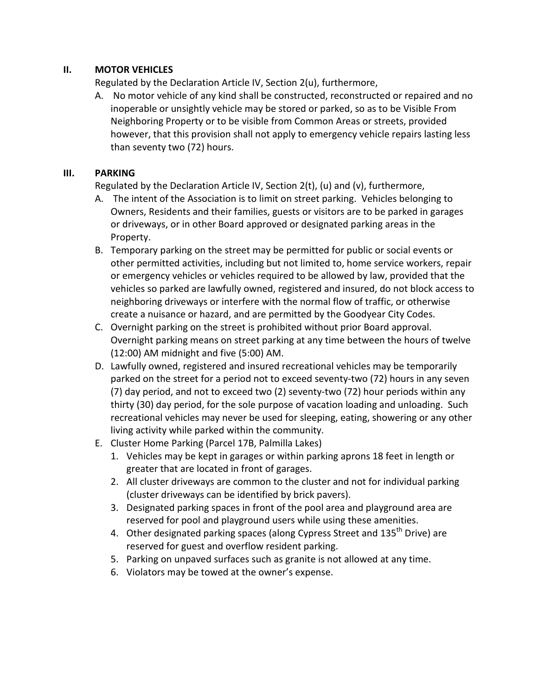## **II. MOTOR VEHICLES**

Regulated by the Declaration Article IV, Section 2(u), furthermore,

A. No motor vehicle of any kind shall be constructed, reconstructed or repaired and no inoperable or unsightly vehicle may be stored or parked, so as to be Visible From Neighboring Property or to be visible from Common Areas or streets, provided however, that this provision shall not apply to emergency vehicle repairs lasting less than seventy two (72) hours.

## **III. PARKING**

Regulated by the Declaration Article IV, Section 2(t), (u) and (v), furthermore,

- A. The intent of the Association is to limit on street parking. Vehicles belonging to Owners, Residents and their families, guests or visitors are to be parked in garages or driveways, or in other Board approved or designated parking areas in the Property.
- B. Temporary parking on the street may be permitted for public or social events or other permitted activities, including but not limited to, home service workers, repair or emergency vehicles or vehicles required to be allowed by law, provided that the vehicles so parked are lawfully owned, registered and insured, do not block access to neighboring driveways or interfere with the normal flow of traffic, or otherwise create a nuisance or hazard, and are permitted by the Goodyear City Codes.
- C. Overnight parking on the street is prohibited without prior Board approval. Overnight parking means on street parking at any time between the hours of twelve (12:00) AM midnight and five (5:00) AM.
- D. Lawfully owned, registered and insured recreational vehicles may be temporarily parked on the street for a period not to exceed seventy-two (72) hours in any seven (7) day period, and not to exceed two (2) seventy-two (72) hour periods within any thirty (30) day period, for the sole purpose of vacation loading and unloading. Such recreational vehicles may never be used for sleeping, eating, showering or any other living activity while parked within the community.
- E. Cluster Home Parking (Parcel 17B, Palmilla Lakes)
	- 1. Vehicles may be kept in garages or within parking aprons 18 feet in length or greater that are located in front of garages.
	- 2. All cluster driveways are common to the cluster and not for individual parking (cluster driveways can be identified by brick pavers).
	- 3. Designated parking spaces in front of the pool area and playground area are reserved for pool and playground users while using these amenities.
	- 4. Other designated parking spaces (along Cypress Street and 135<sup>th</sup> Drive) are reserved for guest and overflow resident parking.
	- 5. Parking on unpaved surfaces such as granite is not allowed at any time.
	- 6. Violators may be towed at the owner's expense.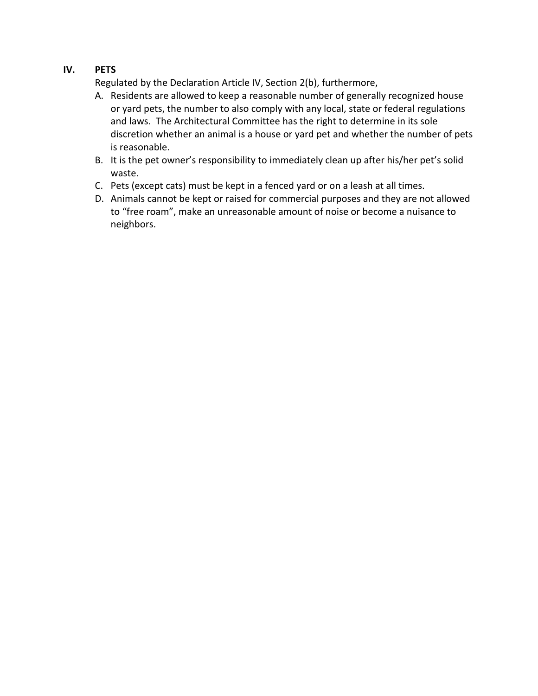## **IV. PETS**

Regulated by the Declaration Article IV, Section 2(b), furthermore,

- A. Residents are allowed to keep a reasonable number of generally recognized house or yard pets, the number to also comply with any local, state or federal regulations and laws. The Architectural Committee has the right to determine in its sole discretion whether an animal is a house or yard pet and whether the number of pets is reasonable.
- B. It is the pet owner's responsibility to immediately clean up after his/her pet's solid waste.
- C. Pets (except cats) must be kept in a fenced yard or on a leash at all times.
- D. Animals cannot be kept or raised for commercial purposes and they are not allowed to "free roam", make an unreasonable amount of noise or become a nuisance to neighbors.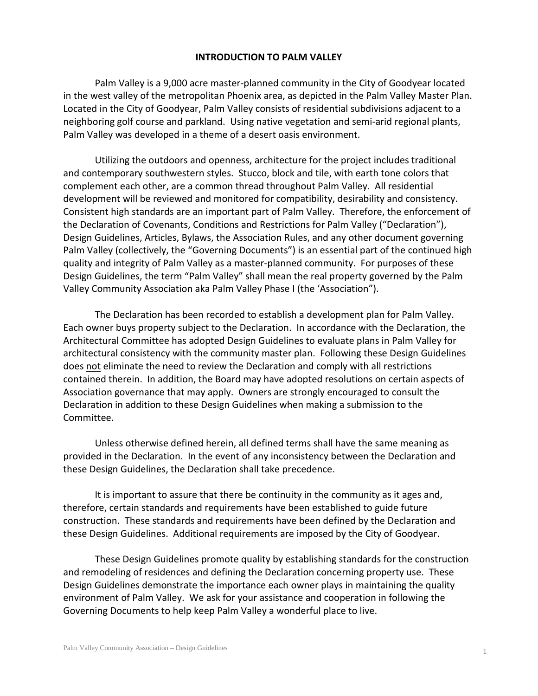### **INTRODUCTION TO PALM VALLEY**

Palm Valley is a 9,000 acre master-planned community in the City of Goodyear located in the west valley of the metropolitan Phoenix area, as depicted in the Palm Valley Master Plan. Located in the City of Goodyear, Palm Valley consists of residential subdivisions adjacent to a neighboring golf course and parkland. Using native vegetation and semi-arid regional plants, Palm Valley was developed in a theme of a desert oasis environment.

Utilizing the outdoors and openness, architecture for the project includes traditional and contemporary southwestern styles. Stucco, block and tile, with earth tone colors that complement each other, are a common thread throughout Palm Valley. All residential development will be reviewed and monitored for compatibility, desirability and consistency. Consistent high standards are an important part of Palm Valley. Therefore, the enforcement of the Declaration of Covenants, Conditions and Restrictions for Palm Valley ("Declaration"), Design Guidelines, Articles, Bylaws, the Association Rules, and any other document governing Palm Valley (collectively, the "Governing Documents") is an essential part of the continued high quality and integrity of Palm Valley as a master-planned community. For purposes of these Design Guidelines, the term "Palm Valley" shall mean the real property governed by the Palm Valley Community Association aka Palm Valley Phase I (the 'Association").

The Declaration has been recorded to establish a development plan for Palm Valley. Each owner buys property subject to the Declaration. In accordance with the Declaration, the Architectural Committee has adopted Design Guidelines to evaluate plans in Palm Valley for architectural consistency with the community master plan. Following these Design Guidelines does not eliminate the need to review the Declaration and comply with all restrictions contained therein. In addition, the Board may have adopted resolutions on certain aspects of Association governance that may apply. Owners are strongly encouraged to consult the Declaration in addition to these Design Guidelines when making a submission to the Committee.

Unless otherwise defined herein, all defined terms shall have the same meaning as provided in the Declaration. In the event of any inconsistency between the Declaration and these Design Guidelines, the Declaration shall take precedence.

It is important to assure that there be continuity in the community as it ages and, therefore, certain standards and requirements have been established to guide future construction. These standards and requirements have been defined by the Declaration and these Design Guidelines. Additional requirements are imposed by the City of Goodyear.

These Design Guidelines promote quality by establishing standards for the construction and remodeling of residences and defining the Declaration concerning property use. These Design Guidelines demonstrate the importance each owner plays in maintaining the quality environment of Palm Valley. We ask for your assistance and cooperation in following the Governing Documents to help keep Palm Valley a wonderful place to live.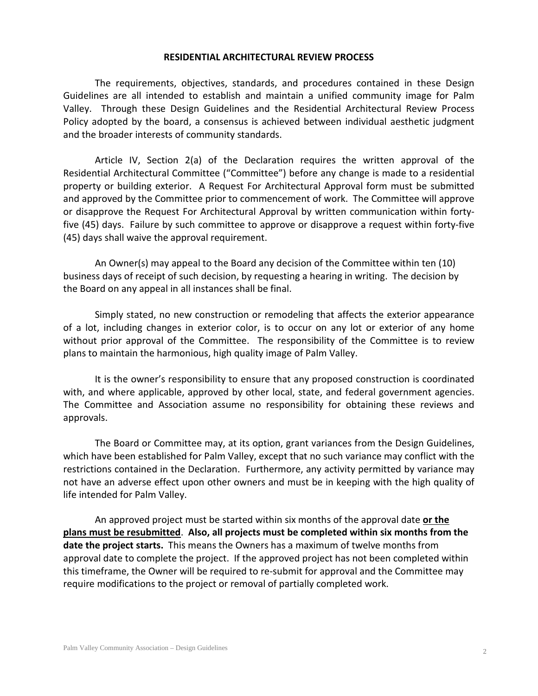### **RESIDENTIAL ARCHITECTURAL REVIEW PROCESS**

The requirements, objectives, standards, and procedures contained in these Design Guidelines are all intended to establish and maintain a unified community image for Palm Valley. Through these Design Guidelines and the Residential Architectural Review Process Policy adopted by the board, a consensus is achieved between individual aesthetic judgment and the broader interests of community standards.

Article IV, Section 2(a) of the Declaration requires the written approval of the Residential Architectural Committee ("Committee") before any change is made to a residential property or building exterior. A Request For Architectural Approval form must be submitted and approved by the Committee prior to commencement of work. The Committee will approve or disapprove the Request For Architectural Approval by written communication within fortyfive (45) days. Failure by such committee to approve or disapprove a request within forty-five (45) days shall waive the approval requirement.

An Owner(s) may appeal to the Board any decision of the Committee within ten (10) business days of receipt of such decision, by requesting a hearing in writing. The decision by the Board on any appeal in all instances shall be final.

Simply stated, no new construction or remodeling that affects the exterior appearance of a lot, including changes in exterior color, is to occur on any lot or exterior of any home without prior approval of the Committee. The responsibility of the Committee is to review plans to maintain the harmonious, high quality image of Palm Valley.

It is the owner's responsibility to ensure that any proposed construction is coordinated with, and where applicable, approved by other local, state, and federal government agencies. The Committee and Association assume no responsibility for obtaining these reviews and approvals.

The Board or Committee may, at its option, grant variances from the Design Guidelines, which have been established for Palm Valley, except that no such variance may conflict with the restrictions contained in the Declaration. Furthermore, any activity permitted by variance may not have an adverse effect upon other owners and must be in keeping with the high quality of life intended for Palm Valley.

An approved project must be started within six months of the approval date **or the plans must be resubmitted**. **Also, all projects must be completed within six months from the date the project starts.** This means the Owners has a maximum of twelve months from approval date to complete the project. If the approved project has not been completed within this timeframe, the Owner will be required to re-submit for approval and the Committee may require modifications to the project or removal of partially completed work.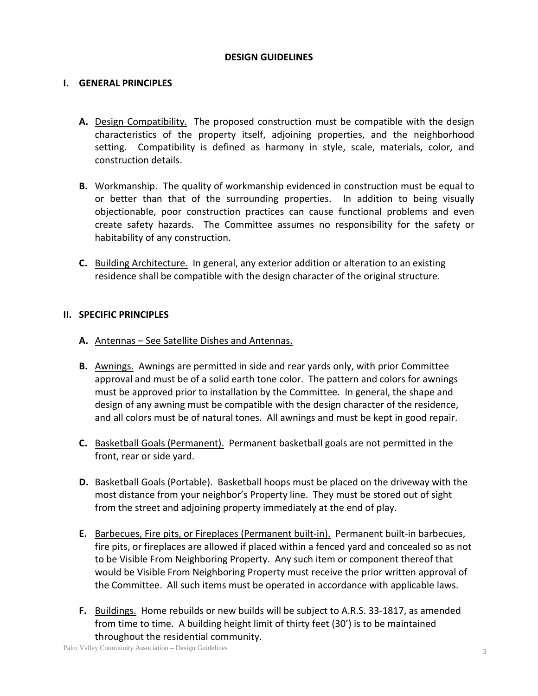### **DESIGN GUIDELINES**

### **I. GENERAL PRINCIPLES**

- **A.** Design Compatibility. The proposed construction must be compatible with the design characteristics of the property itself, adjoining properties, and the neighborhood setting. Compatibility is defined as harmony in style, scale, materials, color, and construction details.
- **B.** Workmanship. The quality of workmanship evidenced in construction must be equal to or better than that of the surrounding properties. In addition to being visually objectionable, poor construction practices can cause functional problems and even create safety hazards. The Committee assumes no responsibility for the safety or habitability of any construction.
- **C.** Building Architecture. In general, any exterior addition or alteration to an existing residence shall be compatible with the design character of the original structure.

### **II. SPECIFIC PRINCIPLES**

- **A.** Antennas See Satellite Dishes and Antennas.
- **B.** Awnings. Awnings are permitted in side and rear yards only, with prior Committee approval and must be of a solid earth tone color. The pattern and colors for awnings must be approved prior to installation by the Committee. In general, the shape and design of any awning must be compatible with the design character of the residence, and all colors must be of natural tones. All awnings and must be kept in good repair.
- **C.** Basketball Goals (Permanent). Permanent basketball goals are not permitted in the front, rear or side yard.
- **D.** Basketball Goals (Portable). Basketball hoops must be placed on the driveway with the most distance from your neighbor's Property line. They must be stored out of sight from the street and adjoining property immediately at the end of play.
- **E.** Barbecues, Fire pits, or Fireplaces (Permanent built-in). Permanent built-in barbecues, fire pits, or fireplaces are allowed if placed within a fenced yard and concealed so as not to be Visible From Neighboring Property. Any such item or component thereof that would be Visible From Neighboring Property must receive the prior written approval of the Committee. All such items must be operated in accordance with applicable laws.
- **F.** Buildings. Home rebuilds or new builds will be subject to A.R.S. 33-1817, as amended from time to time. A building height limit of thirty feet (30') is to be maintained throughout the residential community.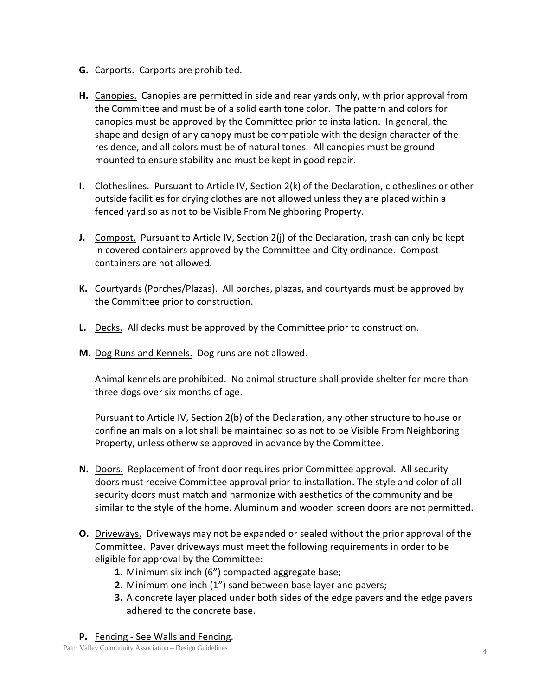- **G.** Carports. Carports are prohibited.
- **H.** Canopies. Canopies are permitted in side and rear yards only, with prior approval from the Committee and must be of a solid earth tone color. The pattern and colors for canopies must be approved by the Committee prior to installation. In general, the shape and design of any canopy must be compatible with the design character of the residence, and all colors must be of natural tones. All canopies must be ground mounted to ensure stability and must be kept in good repair.
- **I.** Clotheslines. Pursuant to Article IV, Section 2(k) of the Declaration, clotheslines or other outside facilities for drying clothes are not allowed unless they are placed within a fenced yard so as not to be Visible From Neighboring Property.
- **J.** Compost. Pursuant to Article IV, Section 2(j) of the Declaration, trash can only be kept in covered containers approved by the Committee and City ordinance. Compost containers are not allowed.
- **K.** Courtyards (Porches/Plazas). All porches, plazas, and courtyards must be approved by the Committee prior to construction.
- **L.** Decks. All decks must be approved by the Committee prior to construction.
- **M.** Dog Runs and Kennels. Dog runs are not allowed.

Animal kennels are prohibited. No animal structure shall provide shelter for more than three dogs over six months of age.

Pursuant to Article IV, Section 2(b) of the Declaration, any other structure to house or confine animals on a lot shall be maintained so as not to be Visible From Neighboring Property, unless otherwise approved in advance by the Committee.

- **N.** Doors. Replacement of front door requires prior Committee approval. All security doors must receive Committee approval prior to installation. The style and color of all security doors must match and harmonize with aesthetics of the community and be similar to the style of the home. Aluminum and wooden screen doors are not permitted.
- **O.** Driveways. Driveways may not be expanded or sealed without the prior approval of the Committee. Paver driveways must meet the following requirements in order to be eligible for approval by the Committee:
	- **1.** Minimum six inch (6") compacted aggregate base;
	- **2.** Minimum one inch (1") sand between base layer and pavers;
	- **3.** A concrete layer placed under both sides of the edge pavers and the edge pavers adhered to the concrete base.
- **P.** Fencing See Walls and Fencing.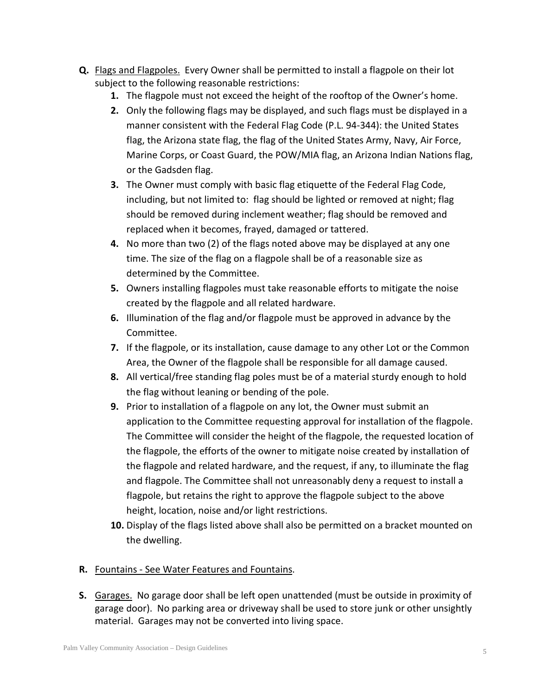- **Q.** Flags and Flagpoles. Every Owner shall be permitted to install a flagpole on their lot subject to the following reasonable restrictions:
	- **1.** The flagpole must not exceed the height of the rooftop of the Owner's home.
	- **2.** Only the following flags may be displayed, and such flags must be displayed in a manner consistent with the Federal Flag Code (P.L. 94-344): the United States flag, the Arizona state flag, the flag of the United States Army, Navy, Air Force, Marine Corps, or Coast Guard, the POW/MIA flag, an Arizona Indian Nations flag, or the Gadsden flag.
	- **3.** The Owner must comply with basic flag etiquette of the Federal Flag Code, including, but not limited to: flag should be lighted or removed at night; flag should be removed during inclement weather; flag should be removed and replaced when it becomes, frayed, damaged or tattered.
	- **4.** No more than two (2) of the flags noted above may be displayed at any one time. The size of the flag on a flagpole shall be of a reasonable size as determined by the Committee.
	- **5.** Owners installing flagpoles must take reasonable efforts to mitigate the noise created by the flagpole and all related hardware.
	- **6.** Illumination of the flag and/or flagpole must be approved in advance by the Committee.
	- **7.** If the flagpole, or its installation, cause damage to any other Lot or the Common Area, the Owner of the flagpole shall be responsible for all damage caused.
	- **8.** All vertical/free standing flag poles must be of a material sturdy enough to hold the flag without leaning or bending of the pole.
	- **9.** Prior to installation of a flagpole on any lot, the Owner must submit an application to the Committee requesting approval for installation of the flagpole. The Committee will consider the height of the flagpole, the requested location of the flagpole, the efforts of the owner to mitigate noise created by installation of the flagpole and related hardware, and the request, if any, to illuminate the flag and flagpole. The Committee shall not unreasonably deny a request to install a flagpole, but retains the right to approve the flagpole subject to the above height, location, noise and/or light restrictions.
	- **10.** Display of the flags listed above shall also be permitted on a bracket mounted on the dwelling.

## **R.** Fountains - See Water Features and Fountains.

**S.** Garages. No garage door shall be left open unattended (must be outside in proximity of garage door). No parking area or driveway shall be used to store junk or other unsightly material. Garages may not be converted into living space.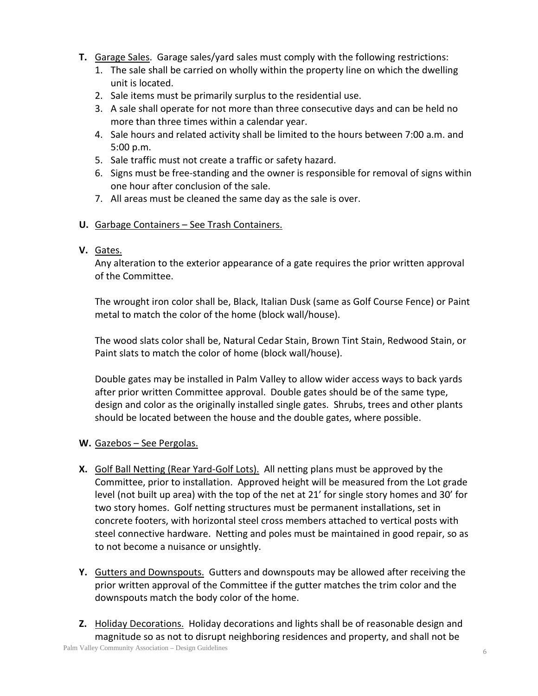- **T.** Garage Sales. Garage sales/yard sales must comply with the following restrictions:
	- 1. The sale shall be carried on wholly within the property line on which the dwelling unit is located.
	- 2. Sale items must be primarily surplus to the residential use.
	- 3. A sale shall operate for not more than three consecutive days and can be held no more than three times within a calendar year.
	- 4. Sale hours and related activity shall be limited to the hours between 7:00 a.m. and 5:00 p.m.
	- 5. Sale traffic must not create a traffic or safety hazard.
	- 6. Signs must be free-standing and the owner is responsible for removal of signs within one hour after conclusion of the sale.
	- 7. All areas must be cleaned the same day as the sale is over.

## **U.** Garbage Containers – See Trash Containers.

## **V.** Gates.

Any alteration to the exterior appearance of a gate requires the prior written approval of the Committee.

The wrought iron color shall be, Black, Italian Dusk (same as Golf Course Fence) or Paint metal to match the color of the home (block wall/house).

The wood slats color shall be, Natural Cedar Stain, Brown Tint Stain, Redwood Stain, or Paint slats to match the color of home (block wall/house).

Double gates may be installed in Palm Valley to allow wider access ways to back yards after prior written Committee approval. Double gates should be of the same type, design and color as the originally installed single gates. Shrubs, trees and other plants should be located between the house and the double gates, where possible.

## **W.** Gazebos – See Pergolas.

- **X.** Golf Ball Netting (Rear Yard-Golf Lots). All netting plans must be approved by the Committee, prior to installation. Approved height will be measured from the Lot grade level (not built up area) with the top of the net at 21' for single story homes and 30' for two story homes. Golf netting structures must be permanent installations, set in concrete footers, with horizontal steel cross members attached to vertical posts with steel connective hardware. Netting and poles must be maintained in good repair, so as to not become a nuisance or unsightly.
- **Y.** Gutters and Downspouts. Gutters and downspouts may be allowed after receiving the prior written approval of the Committee if the gutter matches the trim color and the downspouts match the body color of the home.
- **Z.** Holiday Decorations. Holiday decorations and lights shall be of reasonable design and magnitude so as not to disrupt neighboring residences and property, and shall not be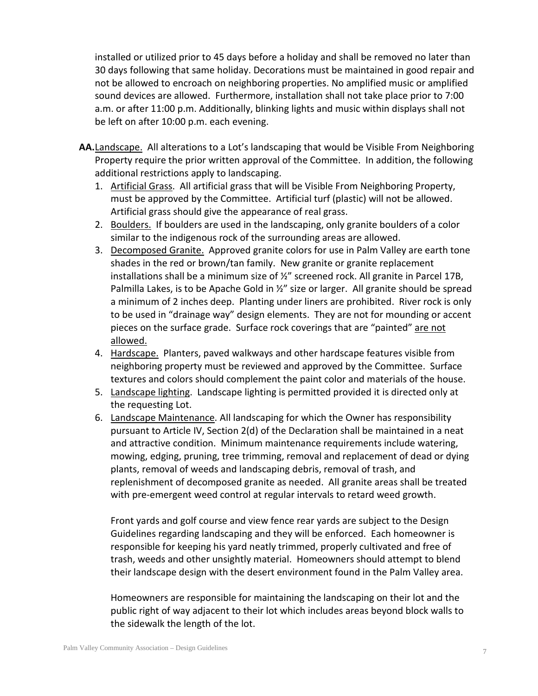installed or utilized prior to 45 days before a holiday and shall be removed no later than 30 days following that same holiday. Decorations must be maintained in good repair and not be allowed to encroach on neighboring properties. No amplified music or amplified sound devices are allowed. Furthermore, installation shall not take place prior to 7:00 a.m. or after 11:00 p.m. Additionally, blinking lights and music within displays shall not be left on after 10:00 p.m. each evening.

- **AA.**Landscape. All alterations to a Lot's landscaping that would be Visible From Neighboring Property require the prior written approval of the Committee. In addition, the following additional restrictions apply to landscaping.
	- 1. Artificial Grass. All artificial grass that will be Visible From Neighboring Property, must be approved by the Committee. Artificial turf (plastic) will not be allowed. Artificial grass should give the appearance of real grass.
	- 2. Boulders. If boulders are used in the landscaping, only granite boulders of a color similar to the indigenous rock of the surrounding areas are allowed.
	- 3. Decomposed Granite. Approved granite colors for use in Palm Valley are earth tone shades in the red or brown/tan family. New granite or granite replacement installations shall be a minimum size of ½" screened rock. All granite in Parcel 17B, Palmilla Lakes, is to be Apache Gold in ½" size or larger. All granite should be spread a minimum of 2 inches deep. Planting under liners are prohibited. River rock is only to be used in "drainage way" design elements. They are not for mounding or accent pieces on the surface grade. Surface rock coverings that are "painted" are not allowed.
	- 4. Hardscape. Planters, paved walkways and other hardscape features visible from neighboring property must be reviewed and approved by the Committee. Surface textures and colors should complement the paint color and materials of the house.
	- 5. Landscape lighting. Landscape lighting is permitted provided it is directed only at the requesting Lot.
	- 6. Landscape Maintenance. All landscaping for which the Owner has responsibility pursuant to Article IV, Section 2(d) of the Declaration shall be maintained in a neat and attractive condition. Minimum maintenance requirements include watering, mowing, edging, pruning, tree trimming, removal and replacement of dead or dying plants, removal of weeds and landscaping debris, removal of trash, and replenishment of decomposed granite as needed. All granite areas shall be treated with pre-emergent weed control at regular intervals to retard weed growth.

Front yards and golf course and view fence rear yards are subject to the Design Guidelines regarding landscaping and they will be enforced. Each homeowner is responsible for keeping his yard neatly trimmed, properly cultivated and free of trash, weeds and other unsightly material. Homeowners should attempt to blend their landscape design with the desert environment found in the Palm Valley area.

Homeowners are responsible for maintaining the landscaping on their lot and the public right of way adjacent to their lot which includes areas beyond block walls to the sidewalk the length of the lot.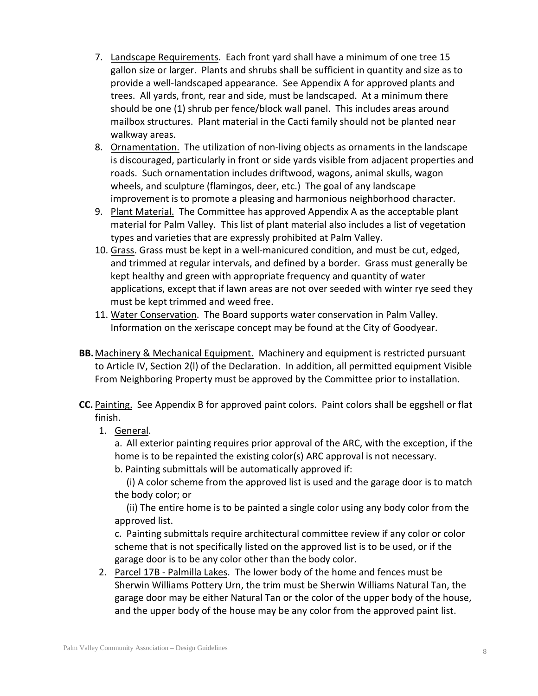- 7. Landscape Requirements. Each front yard shall have a minimum of one tree 15 gallon size or larger. Plants and shrubs shall be sufficient in quantity and size as to provide a well-landscaped appearance. See Appendix A for approved plants and trees. All yards, front, rear and side, must be landscaped. At a minimum there should be one (1) shrub per fence/block wall panel. This includes areas around mailbox structures. Plant material in the Cacti family should not be planted near walkway areas.
- 8. Ornamentation. The utilization of non-living objects as ornaments in the landscape is discouraged, particularly in front or side yards visible from adjacent properties and roads. Such ornamentation includes driftwood, wagons, animal skulls, wagon wheels, and sculpture (flamingos, deer, etc.) The goal of any landscape improvement is to promote a pleasing and harmonious neighborhood character.
- 9. Plant Material. The Committee has approved Appendix A as the acceptable plant material for Palm Valley. This list of plant material also includes a list of vegetation types and varieties that are expressly prohibited at Palm Valley.
- 10. Grass. Grass must be kept in a well-manicured condition, and must be cut, edged, and trimmed at regular intervals, and defined by a border. Grass must generally be kept healthy and green with appropriate frequency and quantity of water applications, except that if lawn areas are not over seeded with winter rye seed they must be kept trimmed and weed free.
- 11. Water Conservation. The Board supports water conservation in Palm Valley. Information on the xeriscape concept may be found at the City of Goodyear.
- **BB.**Machinery & Mechanical Equipment. Machinery and equipment is restricted pursuant to Article IV, Section 2(l) of the Declaration. In addition, all permitted equipment Visible From Neighboring Property must be approved by the Committee prior to installation.
- **CC.** Painting. See Appendix B for approved paint colors. Paint colors shall be eggshell or flat finish.
	- 1. General.

a. All exterior painting requires prior approval of the ARC, with the exception, if the home is to be repainted the existing color(s) ARC approval is not necessary.

b. Painting submittals will be automatically approved if:

(i) A color scheme from the approved list is used and the garage door is to match the body color; or

(ii) The entire home is to be painted a single color using any body color from the approved list.

c. Painting submittals require architectural committee review if any color or color scheme that is not specifically listed on the approved list is to be used, or if the garage door is to be any color other than the body color.

2. Parcel 17B - Palmilla Lakes. The lower body of the home and fences must be Sherwin Williams Pottery Urn, the trim must be Sherwin Williams Natural Tan, the garage door may be either Natural Tan or the color of the upper body of the house, and the upper body of the house may be any color from the approved paint list.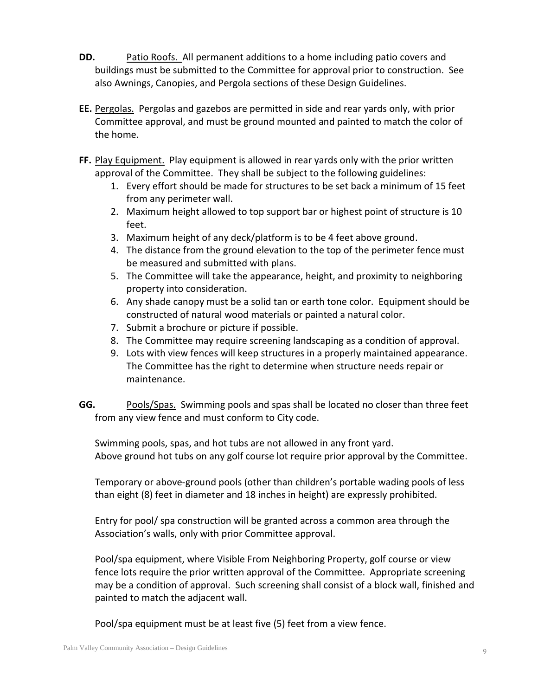- **DD.** Patio Roofs. All permanent additions to a home including patio covers and buildings must be submitted to the Committee for approval prior to construction. See also Awnings, Canopies, and Pergola sections of these Design Guidelines.
- **EE.** Pergolas. Pergolas and gazebos are permitted in side and rear yards only, with prior Committee approval, and must be ground mounted and painted to match the color of the home.
- **FF.** Play Equipment. Play equipment is allowed in rear yards only with the prior written approval of the Committee. They shall be subject to the following guidelines:
	- 1. Every effort should be made for structures to be set back a minimum of 15 feet from any perimeter wall.
	- 2. Maximum height allowed to top support bar or highest point of structure is 10 feet.
	- 3. Maximum height of any deck/platform is to be 4 feet above ground.
	- 4. The distance from the ground elevation to the top of the perimeter fence must be measured and submitted with plans.
	- 5. The Committee will take the appearance, height, and proximity to neighboring property into consideration.
	- 6. Any shade canopy must be a solid tan or earth tone color. Equipment should be constructed of natural wood materials or painted a natural color.
	- 7. Submit a brochure or picture if possible.
	- 8. The Committee may require screening landscaping as a condition of approval.
	- 9. Lots with view fences will keep structures in a properly maintained appearance. The Committee has the right to determine when structure needs repair or maintenance.
- **GG.** Pools/Spas. Swimming pools and spas shall be located no closer than three feet from any view fence and must conform to City code.

Swimming pools, spas, and hot tubs are not allowed in any front yard. Above ground hot tubs on any golf course lot require prior approval by the Committee.

Temporary or above-ground pools (other than children's portable wading pools of less than eight (8) feet in diameter and 18 inches in height) are expressly prohibited.

Entry for pool/ spa construction will be granted across a common area through the Association's walls, only with prior Committee approval.

Pool/spa equipment, where Visible From Neighboring Property, golf course or view fence lots require the prior written approval of the Committee. Appropriate screening may be a condition of approval. Such screening shall consist of a block wall, finished and painted to match the adjacent wall.

Pool/spa equipment must be at least five (5) feet from a view fence.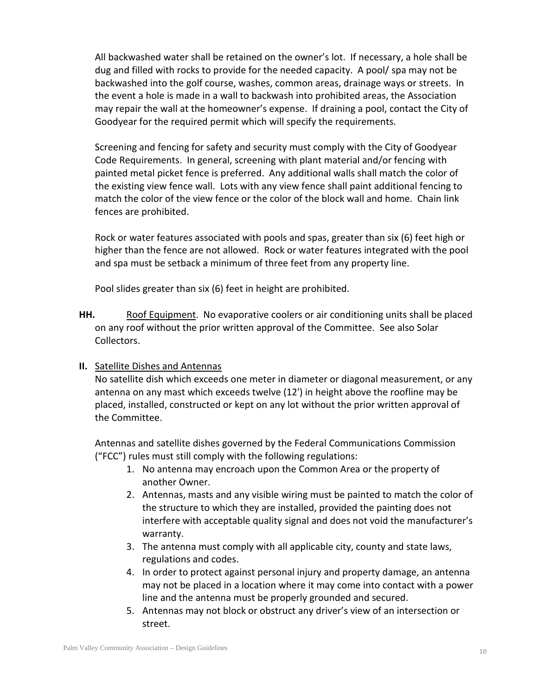All backwashed water shall be retained on the owner's lot. If necessary, a hole shall be dug and filled with rocks to provide for the needed capacity. A pool/ spa may not be backwashed into the golf course, washes, common areas, drainage ways or streets. In the event a hole is made in a wall to backwash into prohibited areas, the Association may repair the wall at the homeowner's expense. If draining a pool, contact the City of Goodyear for the required permit which will specify the requirements.

Screening and fencing for safety and security must comply with the City of Goodyear Code Requirements. In general, screening with plant material and/or fencing with painted metal picket fence is preferred. Any additional walls shall match the color of the existing view fence wall. Lots with any view fence shall paint additional fencing to match the color of the view fence or the color of the block wall and home. Chain link fences are prohibited.

Rock or water features associated with pools and spas, greater than six (6) feet high or higher than the fence are not allowed. Rock or water features integrated with the pool and spa must be setback a minimum of three feet from any property line.

Pool slides greater than six (6) feet in height are prohibited.

- **HH.** Roof Equipment. No evaporative coolers or air conditioning units shall be placed on any roof without the prior written approval of the Committee. See also Solar Collectors.
- **II.** Satellite Dishes and Antennas

No satellite dish which exceeds one meter in diameter or diagonal measurement, or any antenna on any mast which exceeds twelve (12') in height above the roofline may be placed, installed, constructed or kept on any lot without the prior written approval of the Committee.

Antennas and satellite dishes governed by the Federal Communications Commission ("FCC") rules must still comply with the following regulations:

- 1. No antenna may encroach upon the Common Area or the property of another Owner.
- 2. Antennas, masts and any visible wiring must be painted to match the color of the structure to which they are installed, provided the painting does not interfere with acceptable quality signal and does not void the manufacturer's warranty.
- 3. The antenna must comply with all applicable city, county and state laws, regulations and codes.
- 4. In order to protect against personal injury and property damage, an antenna may not be placed in a location where it may come into contact with a power line and the antenna must be properly grounded and secured.
- 5. Antennas may not block or obstruct any driver's view of an intersection or street.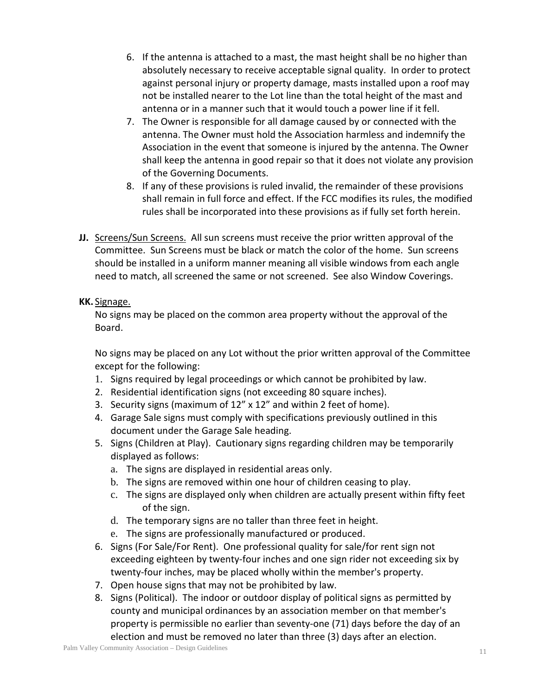- 6. If the antenna is attached to a mast, the mast height shall be no higher than absolutely necessary to receive acceptable signal quality. In order to protect against personal injury or property damage, masts installed upon a roof may not be installed nearer to the Lot line than the total height of the mast and antenna or in a manner such that it would touch a power line if it fell.
- 7. The Owner is responsible for all damage caused by or connected with the antenna. The Owner must hold the Association harmless and indemnify the Association in the event that someone is injured by the antenna. The Owner shall keep the antenna in good repair so that it does not violate any provision of the Governing Documents.
- 8. If any of these provisions is ruled invalid, the remainder of these provisions shall remain in full force and effect. If the FCC modifies its rules, the modified rules shall be incorporated into these provisions as if fully set forth herein.
- **JJ.** Screens/Sun Screens. All sun screens must receive the prior written approval of the Committee. Sun Screens must be black or match the color of the home. Sun screens should be installed in a uniform manner meaning all visible windows from each angle need to match, all screened the same or not screened. See also Window Coverings.

## **KK.** Signage.

No signs may be placed on the common area property without the approval of the Board.

No signs may be placed on any Lot without the prior written approval of the Committee except for the following:

- 1. Signs required by legal proceedings or which cannot be prohibited by law.
- 2. Residential identification signs (not exceeding 80 square inches).
- 3. Security signs (maximum of 12" x 12" and within 2 feet of home).
- 4. Garage Sale signs must comply with specifications previously outlined in this document under the Garage Sale heading.
- 5. Signs (Children at Play). Cautionary signs regarding children may be temporarily displayed as follows:
	- a. The signs are displayed in residential areas only.
	- b. The signs are removed within one hour of children ceasing to play.
	- c. The signs are displayed only when children are actually present within fifty feet of the sign.
	- d. The temporary signs are no taller than three feet in height.
	- e. The signs are professionally manufactured or produced.
- 6. Signs (For Sale/For Rent). One professional quality for sale/for rent sign not exceeding eighteen by twenty-four inches and one sign rider not exceeding six by twenty-four inches, may be placed wholly within the member's property.
- 7. Open house signs that may not be prohibited by law.
- 8. Signs (Political). The indoor or outdoor display of political signs as permitted by county and municipal ordinances by an association member on that member's property is permissible no earlier than seventy-one (71) days before the day of an election and must be removed no later than three (3) days after an election.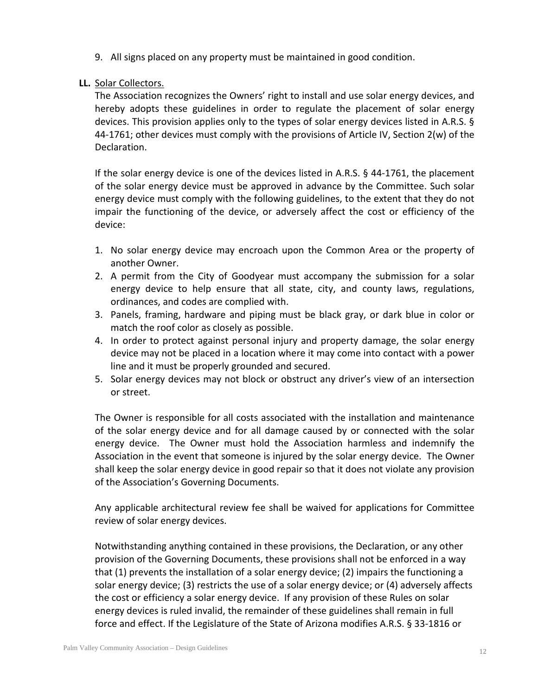9. All signs placed on any property must be maintained in good condition.

## **LL.** Solar Collectors.

The Association recognizes the Owners' right to install and use solar energy devices, and hereby adopts these guidelines in order to regulate the placement of solar energy devices. This provision applies only to the types of solar energy devices listed in A.R.S. § 44-1761; other devices must comply with the provisions of Article IV, Section 2(w) of the Declaration.

If the solar energy device is one of the devices listed in A.R.S. § 44-1761, the placement of the solar energy device must be approved in advance by the Committee. Such solar energy device must comply with the following guidelines, to the extent that they do not impair the functioning of the device, or adversely affect the cost or efficiency of the device:

- 1. No solar energy device may encroach upon the Common Area or the property of another Owner.
- 2. A permit from the City of Goodyear must accompany the submission for a solar energy device to help ensure that all state, city, and county laws, regulations, ordinances, and codes are complied with.
- 3. Panels, framing, hardware and piping must be black gray, or dark blue in color or match the roof color as closely as possible.
- 4. In order to protect against personal injury and property damage, the solar energy device may not be placed in a location where it may come into contact with a power line and it must be properly grounded and secured.
- 5. Solar energy devices may not block or obstruct any driver's view of an intersection or street.

The Owner is responsible for all costs associated with the installation and maintenance of the solar energy device and for all damage caused by or connected with the solar energy device. The Owner must hold the Association harmless and indemnify the Association in the event that someone is injured by the solar energy device. The Owner shall keep the solar energy device in good repair so that it does not violate any provision of the Association's Governing Documents.

Any applicable architectural review fee shall be waived for applications for Committee review of solar energy devices.

Notwithstanding anything contained in these provisions, the Declaration, or any other provision of the Governing Documents, these provisions shall not be enforced in a way that (1) prevents the installation of a solar energy device; (2) impairs the functioning a solar energy device; (3) restricts the use of a solar energy device; or (4) adversely affects the cost or efficiency a solar energy device. If any provision of these Rules on solar energy devices is ruled invalid, the remainder of these guidelines shall remain in full force and effect. If the Legislature of the State of Arizona modifies A.R.S. § 33-1816 or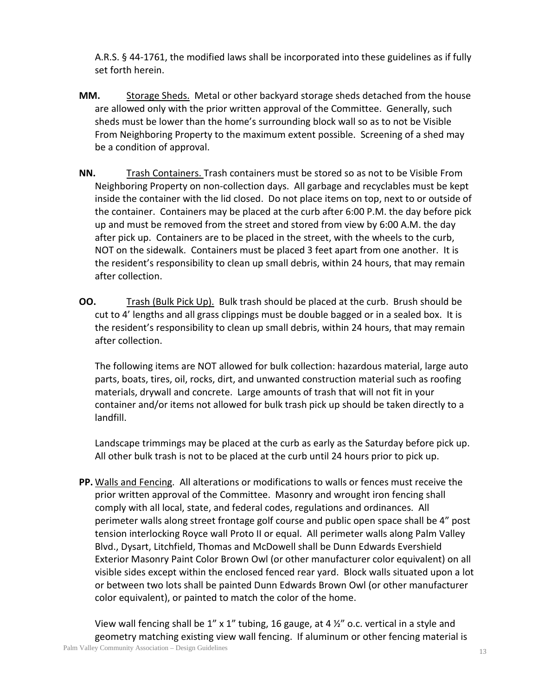A.R.S. § 44-1761, the modified laws shall be incorporated into these guidelines as if fully set forth herein.

- **MM.** Storage Sheds. Metal or other backyard storage sheds detached from the house are allowed only with the prior written approval of the Committee. Generally, such sheds must be lower than the home's surrounding block wall so as to not be Visible From Neighboring Property to the maximum extent possible. Screening of a shed may be a condition of approval.
- **NN.** Trash Containers. Trash containers must be stored so as not to be Visible From Neighboring Property on non-collection days. All garbage and recyclables must be kept inside the container with the lid closed. Do not place items on top, next to or outside of the container. Containers may be placed at the curb after 6:00 P.M. the day before pick up and must be removed from the street and stored from view by 6:00 A.M. the day after pick up. Containers are to be placed in the street, with the wheels to the curb, NOT on the sidewalk. Containers must be placed 3 feet apart from one another. It is the resident's responsibility to clean up small debris, within 24 hours, that may remain after collection.
- **OO.** Trash (Bulk Pick Up). Bulk trash should be placed at the curb. Brush should be cut to 4' lengths and all grass clippings must be double bagged or in a sealed box. It is the resident's responsibility to clean up small debris, within 24 hours, that may remain after collection.

The following items are NOT allowed for bulk collection: hazardous material, large auto parts, boats, tires, oil, rocks, dirt, and unwanted construction material such as roofing materials, drywall and concrete. Large amounts of trash that will not fit in your container and/or items not allowed for bulk trash pick up should be taken directly to a landfill.

Landscape trimmings may be placed at the curb as early as the Saturday before pick up. All other bulk trash is not to be placed at the curb until 24 hours prior to pick up.

**PP.** Walls and Fencing. All alterations or modifications to walls or fences must receive the prior written approval of the Committee. Masonry and wrought iron fencing shall comply with all local, state, and federal codes, regulations and ordinances. All perimeter walls along street frontage golf course and public open space shall be 4" post tension interlocking Royce wall Proto II or equal. All perimeter walls along Palm Valley Blvd., Dysart, Litchfield, Thomas and McDowell shall be Dunn Edwards Evershield Exterior Masonry Paint Color Brown Owl (or other manufacturer color equivalent) on all visible sides except within the enclosed fenced rear yard. Block walls situated upon a lot or between two lots shall be painted Dunn Edwards Brown Owl (or other manufacturer color equivalent), or painted to match the color of the home.

Palm Valley Community Association – Design Guidelines 13 View wall fencing shall be 1" x 1" tubing, 16 gauge, at 4 ½" o.c. vertical in a style and geometry matching existing view wall fencing. If aluminum or other fencing material is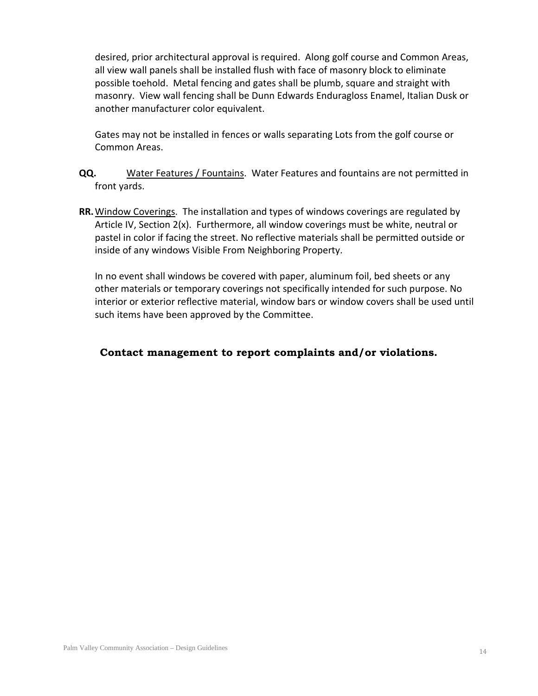desired, prior architectural approval is required. Along golf course and Common Areas, all view wall panels shall be installed flush with face of masonry block to eliminate possible toehold. Metal fencing and gates shall be plumb, square and straight with masonry. View wall fencing shall be Dunn Edwards Enduragloss Enamel, Italian Dusk or another manufacturer color equivalent.

Gates may not be installed in fences or walls separating Lots from the golf course or Common Areas.

- **QQ.** Water Features / Fountains. Water Features and fountains are not permitted in front yards.
- **RR.**Window Coverings. The installation and types of windows coverings are regulated by Article IV, Section 2(x). Furthermore, all window coverings must be white, neutral or pastel in color if facing the street. No reflective materials shall be permitted outside or inside of any windows Visible From Neighboring Property.

In no event shall windows be covered with paper, aluminum foil, bed sheets or any other materials or temporary coverings not specifically intended for such purpose. No interior or exterior reflective material, window bars or window covers shall be used until such items have been approved by the Committee.

## **Contact management to report complaints and/or violations.**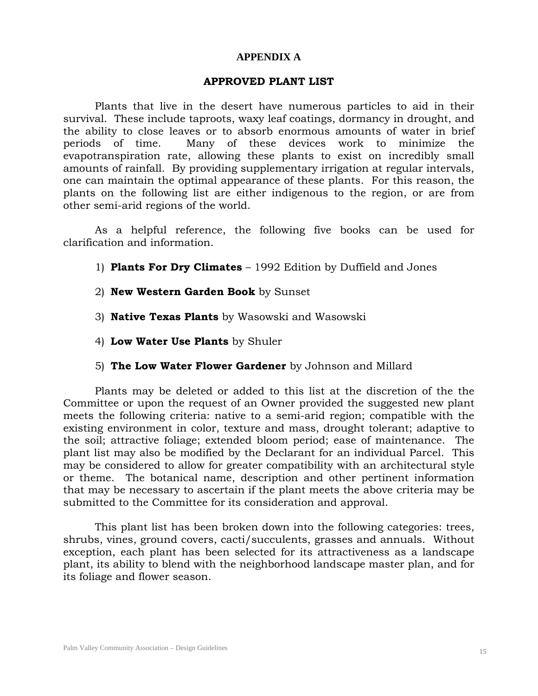### **APPENDIX A**

### **APPROVED PLANT LIST**

Plants that live in the desert have numerous particles to aid in their survival. These include taproots, waxy leaf coatings, dormancy in drought, and the ability to close leaves or to absorb enormous amounts of water in brief periods of time. Many of these devices work to minimize the evapotranspiration rate, allowing these plants to exist on incredibly small amounts of rainfall. By providing supplementary irrigation at regular intervals, one can maintain the optimal appearance of these plants. For this reason, the plants on the following list are either indigenous to the region, or are from other semi-arid regions of the world.

As a helpful reference, the following five books can be used for clarification and information.

- 1) **Plants For Dry Climates**  1992 Edition by Duffield and Jones
- 2) **New Western Garden Book** by Sunset
- 3) **Native Texas Plants** by Wasowski and Wasowski
- 4) **Low Water Use Plants** by Shuler
- 5) **The Low Water Flower Gardener** by Johnson and Millard

Plants may be deleted or added to this list at the discretion of the the Committee or upon the request of an Owner provided the suggested new plant meets the following criteria: native to a semi-arid region; compatible with the existing environment in color, texture and mass, drought tolerant; adaptive to the soil; attractive foliage; extended bloom period; ease of maintenance. The plant list may also be modified by the Declarant for an individual Parcel. This may be considered to allow for greater compatibility with an architectural style or theme. The botanical name, description and other pertinent information that may be necessary to ascertain if the plant meets the above criteria may be submitted to the Committee for its consideration and approval.

This plant list has been broken down into the following categories: trees, shrubs, vines, ground covers, cacti/succulents, grasses and annuals. Without exception, each plant has been selected for its attractiveness as a landscape plant, its ability to blend with the neighborhood landscape master plan, and for its foliage and flower season.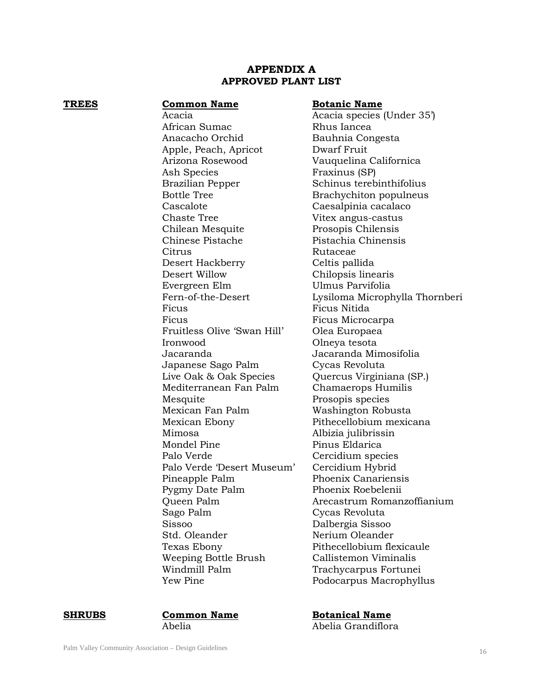### **APPENDIX A APPROVED PLANT LIST**

| <b>TREES</b> | <b>Common Name</b>          | <b>Botanic Name</b> |
|--------------|-----------------------------|---------------------|
|              | Acacia                      | Acacia species      |
|              | African Sumac               | Rhus Iancea         |
|              | Anacacho Orchid             | Bauhnia Conge       |
|              | Apple, Peach, Apricot       | Dwarf Fruit         |
|              | Arizona Rosewood            | Vauquelina Cal      |
|              | Ash Species                 | Fraxinus (SP)       |
|              | Brazilian Pepper            | Schinus terebir     |
|              | <b>Bottle Tree</b>          | Brachychiton p      |
|              | Cascalote                   | Caesalpinia cao     |
|              | <b>Chaste Tree</b>          | Vitex angus-ca      |
|              | Chilean Mesquite            | Prosopis Chiler     |
|              | Chinese Pistache            | Pistachia Chine     |
|              | Citrus                      | Rutaceae            |
|              | Desert Hackberry            | Celtis pallida      |
|              | Desert Willow               | Chilopsis linear    |
|              | Evergreen Elm               | Ulmus Parvifoli     |
|              | Fern-of-the-Desert          | Lysiloma Micro      |
|              | Ficus                       | Ficus Nitida        |
|              | Ficus                       | Ficus Microcar      |
|              | Fruitless Olive 'Swan Hill' | Olea Europaea       |
|              | Ironwood                    | Olneya tesota       |
|              | Jacaranda                   | Jacaranda Mim       |
|              | Japanese Sago Palm          | Cycas Revoluta      |
|              | Live Oak & Oak Species      | Quercus Virgin      |
|              | Mediterranean Fan Palm      | Chamaerops H        |
|              | Mesquite                    | Prosopis specie     |
|              | Mexican Fan Palm            | Washington Ro       |
|              | Mexican Ebony               | Pithecellobium      |
|              | Mimosa                      | Albizia julibriss   |
|              | Mondel Pine                 | Pinus Eldarica      |
|              | Palo Verde                  | Cercidium spec      |
|              | Palo Verde 'Desert Museum'  | Cercidium Hyb       |
|              | Pineapple Palm              | Phoenix Canari      |
|              | Pygmy Date Palm             | Phoenix Roebel      |
|              | Queen Palm                  | Arecastrum Ro       |
|              | Sago Palm                   | Cycas Revoluta      |
|              | Sissoo                      | Dalbergia Sisso     |
|              | Std. Oleander               | Nerium Oleand       |
|              | Texas Ebony                 | Pithecellobium      |
|              | Weeping Bottle Brush        | Callistemon Vir     |
|              | Windmill Palm               | Trachycarpus I      |
|              | Yew Pine                    | Podocarpus Ma       |

Acacia species (Under 35') Rhus Iancea Bauhnia Congesta Dwarf Fruit Vauquelina Californica Fraxinus (SP) Schinus terebinthifolius Brachychiton populneus Caesalpinia cacalaco Vitex angus-castus Prosopis Chilensis Pistachia Chinensis Rutaceae Celtis pallida Chilopsis linearis Ulmus Parvifolia Lysiloma Microphylla Thornberi Ficus Ficus Nitida Ficus Ficus Microcarpa Olea Europaea Olneya tesota Jacaranda Jacaranda Mimosifolia Cycas Revoluta Quercus Virginiana (SP.) Chamaerops Humilis Prosopis species Washington Robusta Pithecellobium mexicana Mimosa Albizia julibrissin Pinus Eldarica Cercidium species m' Cercidium Hybrid Phoenix Canariensis Phoenix Roebelenii Arecastrum Romanzoffianium Cycas Revoluta Dalbergia Sissoo Nerium Oleander Pithecellobium flexicaule Callistemon Viminalis Trachycarpus Fortunei Podocarpus Macrophyllus

**SHRUBS Common Name Botanical Name** Abelia Abelia Grandiflora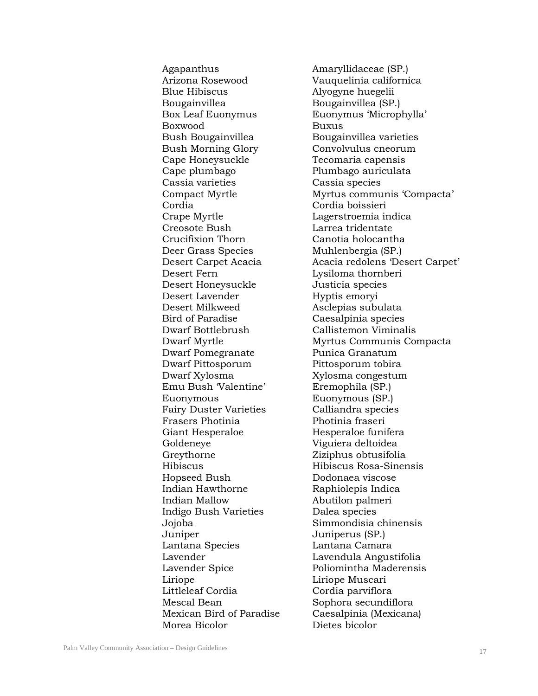Blue Hibiscus Alyogyne huegelii Bougainvillea Bougainvillea (SP.) Boxwood Buxus Bush Bougainvillea Bougainvillea varieties Bush Morning Glory Convolvulus cneorum Cape Honeysuckle Tecomaria capensis Cape plumbago Plumbago auriculata Cassia varieties Cassia species Cordia Cordia boissieri Crape Myrtle Lagerstroemia indica Creosote Bush Larrea tridentate Crucifixion Thorn Canotia holocantha Deer Grass Species Muhlenbergia (SP.) Desert Fern Lysiloma thornberi Desert Honeysuckle Justicia species Desert Lavender Hyptis emoryi Desert Milkweed Asclepias subulata Bird of Paradise Caesalpinia species Dwarf Bottlebrush Callistemon Viminalis Dwarf Pomegranate Punica Granatum Dwarf Pittosporum Pittosporum tobira Dwarf Xylosma Xylosma congestum Emu Bush 'Valentine' Eremophila (SP.) Euonymous Euonymous (SP.) Fairy Duster Varieties Calliandra species Frasers Photinia Photinia fraseri Giant Hesperaloe **Hesperaloe** Hesperaloe funifera Goldeneye Viguiera deltoidea Greythorne Ziziphus obtusifolia Hopseed Bush Dodonaea viscose Indian Hawthorne Raphiolepis Indica Indian Mallow Abutilon palmeri Indigo Bush Varieties Dalea species Juniper Juniperus (SP.) Lantana Species Lantana Camara Lavender Lavendula Angustifolia Liriope Liriope Muscari Littleleaf Cordia Cordia parviflora Mescal Bean Sophora secundiflora Morea Bicolor Dietes bicolor

Agapanthus Amaryllidaceae (SP.) Arizona Rosewood Vauquelinia californica Box Leaf Euonymus Euonymus 'Microphylla' Compact Myrtle Myrtus communis 'Compacta' Desert Carpet Acacia Acacia redolens 'Desert Carpet' Dwarf Myrtle Myrtus Communis Compacta Hibiscus Hibiscus Rosa-Sinensis Jojoba Simmondisia chinensis Lavender Spice Poliomintha Maderensis Mexican Bird of Paradise Caesalpinia (Mexicana)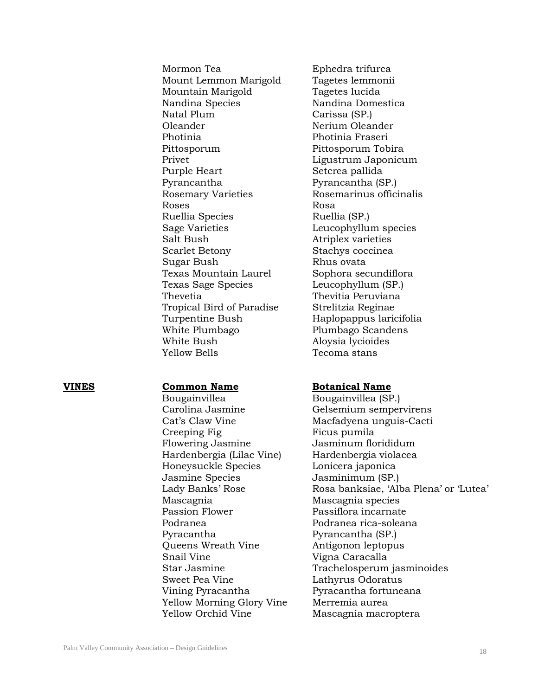Mormon Tea **Ephedra** trifurca Mount Lemmon Marigold Tagetes lemmonii Mountain Marigold Tagetes lucida Nandina Species Nandina Domestica Natal Plum Carissa (SP.) Oleander Nerium Oleander Photinia Photinia Fraseri Pittosporum Pittosporum Tobira Privet Ligustrum Japonicum Purple Heart Setcrea pallida Pyrancantha Pyrancantha (SP.) Rosemary Varieties Rosemarinus officinalis Roses Rosa Ruellia Species Ruellia (SP.) Sage Varieties Leucophyllum species Salt Bush Atriplex varieties Scarlet Betony Stachys coccinea Sugar Bush Rhus ovata Texas Mountain Laurel Sophora secundiflora Texas Sage Species Leucophyllum (SP.) Thevetia Thevitia Peruviana Tropical Bird of Paradise Strelitzia Reginae Turpentine Bush Haplopappus laricifolia White Plumbago Plumbago Scandens White Bush Aloysia lycioides Yellow Bells Tecoma stans

Bougainvillea Bougainvillea (SP.) Carolina Jasmine Gelsemium sempervirens Cat's Claw Vine Macfadyena unguis-Cacti Creeping Fig Ficus pumila Flowering Jasmine Jasminum florididum Hardenbergia (Lilac Vine) Hardenbergia violacea Honeysuckle Species Lonicera japonica Jasmine Species Jasminimum (SP.) Mascagnia Mascagnia species Passion Flower Passiflora incarnate Podranea Podranea rica-soleana Pyracantha Pyrancantha (SP.) Queens Wreath Vine **Antigonon leptopus** Snail Vine Vigna Caracalla Sweet Pea Vine **Lathyrus Odoratus** Vining Pyracantha Pyracantha fortuneana Yellow Morning Glory Vine Merremia aurea Yellow Orchid Vine Mascagnia macroptera

### **VINES Common Name Botanical Name**

Lady Banks' Rose Rosa banksiae, 'Alba Plena' or 'Lutea' Star Jasmine Trachelosperum jasminoides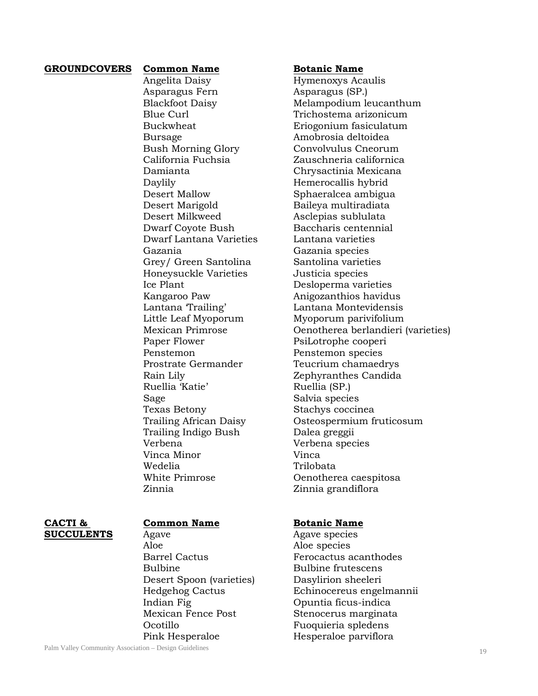### **GROUNDCOVERS Common Name Botanic Name**

Angelita Daisy Hymenoxys Acaulis Asparagus Fern Asparagus (SP.) Bursage **Amobrosia** deltoidea Daylily **Hemerocallis** hybrid Desert Mallow Sphaeralcea ambigua Desert Marigold Baileya multiradiata Desert Milkweed Asclepias sublulata Dwarf Coyote Bush Baccharis centennial Dwarf Lantana Varieties Lantana varieties Gazania Gazania species Grey/ Green Santolina Santolina varieties Honeysuckle Varieties Justicia species Ice Plant Desloperma varieties Paper Flower PsiLotrophe cooperi Penstemon Penstemon species Ruellia 'Katie' Ruellia (SP.) Sage Salvia species Texas Betony Stachys coccinea Trailing Indigo Bush Dalea greggii Verbena Verbena species Vinca Minor **Vinca** Wedelia Trilobata

Blackfoot Daisy Melampodium leucanthum Blue Curl Trichostema arizonicum Buckwheat Eriogonium fasiculatum Bush Morning Glory Convolvulus Cneorum California Fuchsia Zauschneria californica Damianta Chrysactinia Mexicana Kangaroo Paw Anigozanthios havidus Lantana 'Trailing' Lantana Montevidensis Little Leaf Myoporum Myoporum parivifolium Mexican Primrose Oenotherea berlandieri (varieties) Prostrate Germander Teucrium chamaedrys Rain Lily Zephyranthes Candida Trailing African Daisy Osteospermium fruticosum White Primrose **Oenotherea** caespitosa Zinnia Zinnia grandiflora

### **CACTI & Common Name Botanic Name**

**SUCCULENTS** Agave Agave Agave species Aloe aloe Aloe species Bulbine Bulbine frutescens Desert Spoon (varieties) Dasylirion sheeleri Indian Fig Opuntia ficus-indica Mexican Fence Post Stenocerus marginata Ocotillo Fuoquieria spledens Pink Hesperaloe **Hesperaloe** Hesperaloe parviflora

Barrel Cactus **Ferocactus** acanthodes Hedgehog Cactus Echinocereus engelmannii

Palm Valley Community Association – Design Guidelines 19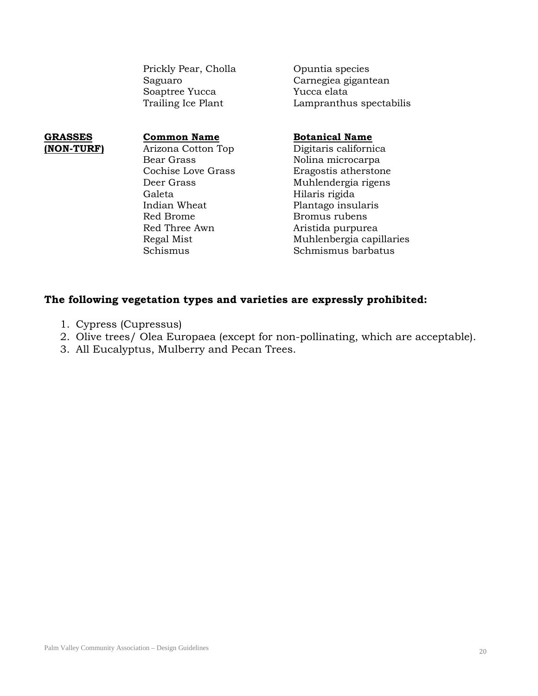Prickly Pear, Cholla Opuntia species Soaptree Yucca

Saguaro Carnegiea gigantean Trailing Ice Plant Lampranthus spectabilis

Bear Grass Nolina microcarpa Galeta Hilaris rigida Indian Wheat Plantago insularis Red Brome Bromus rubens Red Three Awn Aristida purpurea

### **GRASSES Common Name Botanical Name**

**(NON-TURF)** Arizona Cotton Top Digitaris californica Eragostis atherstone Deer Grass Muhlendergia rigens Regal Mist **Muhlenbergia capillaries** Schismus Schmismus barbatus

## **The following vegetation types and varieties are expressly prohibited:**

- 1. Cypress (Cupressus)
- 2. Olive trees/ Olea Europaea (except for non-pollinating, which are acceptable).
- 3. All Eucalyptus, Mulberry and Pecan Trees.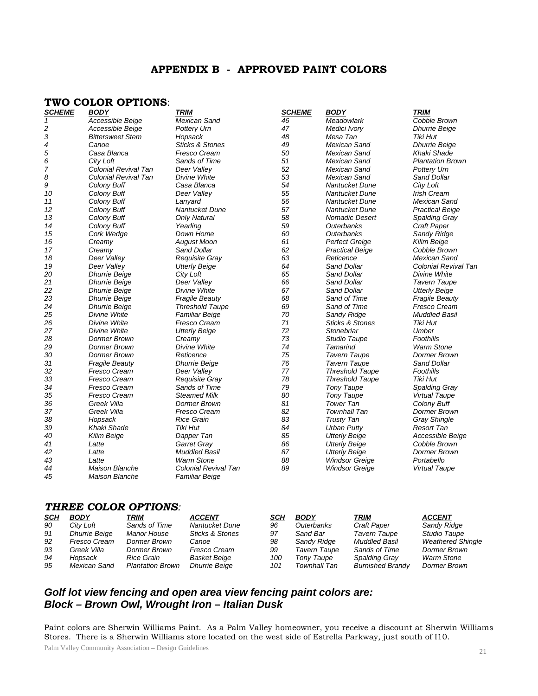## **APPENDIX B - APPROVED PAINT COLORS**

### **TWO COLOR OPTIONS**:

| <b>SCHEME</b> | <b>BODY</b>             | <b>TRIM</b>                | <b>SCHEME</b> | <b>BODY</b>                | <b>TRIM</b>             |
|---------------|-------------------------|----------------------------|---------------|----------------------------|-------------------------|
| 1             | Accessible Beige        | <b>Mexican Sand</b>        | 46            | Meadowlark                 | Cobble Brown            |
| 2             | Accessible Beige        | Pottery Urn                | 47            | Medici Ivory               | <b>Dhurrie Beige</b>    |
| 3             | <b>Bittersweet Stem</b> | Hopsack                    | 48            | Mesa Tan                   | Tiki Hut                |
| 4             | Canoe                   | <b>Sticks &amp; Stones</b> | 49            | <b>Mexican Sand</b>        | <b>Dhurrie Beige</b>    |
| 5             | Casa Blanca             | Fresco Cream               | 50            | <b>Mexican Sand</b>        | Khaki Shade             |
| 6             | City Loft               | Sands of Time              | 51            | <b>Mexican Sand</b>        | <b>Plantation Brown</b> |
| 7             | Colonial Revival Tan    | Deer Valley                | 52            | <b>Mexican Sand</b>        | Pottery Urn             |
| 8             | Colonial Revival Tan    | Divine White               | 53            | <b>Mexican Sand</b>        | <b>Sand Dollar</b>      |
| 9             | Colony Buff             | Casa Blanca                | 54            | Nantucket Dune             | City Loft               |
| 10            | Colony Buff             | Deer Valley                | 55            | Nantucket Dune             | Irish Cream             |
| 11            | Colony Buff             | Lanyard                    | 56            | Nantucket Dune             | Mexican Sand            |
| 12            | Colony Buff             | Nantucket Dune             | 57            | Nantucket Dune             | <b>Practical Beige</b>  |
| 13            | Colony Buff             | <b>Only Natural</b>        | 58            | <b>Nomadic Desert</b>      | Spalding Gray           |
| 14            | Colony Buff             | Yearling                   | 59            | Outerbanks                 | <b>Craft Paper</b>      |
| 15            | Cork Wedge              | Down Home                  | 60            | Outerbanks                 | Sandy Ridge             |
| 16            | Creamy                  | <b>August Moon</b>         | 61            | <b>Perfect Greige</b>      | Kilim Beige             |
| 17            | Creamy                  | <b>Sand Dollar</b>         | 62            | <b>Practical Beige</b>     | Cobble Brown            |
| 18            | Deer Valley             | Requisite Gray             | 63            | Reticence                  | <b>Mexican Sand</b>     |
| 19            | Deer Valley             | <b>Utterly Beige</b>       | 64            | Sand Dollar                | Colonial Revival Tan    |
| 20            | <b>Dhurrie Beige</b>    | City Loft                  | 65            | Sand Dollar                | Divine White            |
| 21            | <b>Dhurrie Beige</b>    | Deer Valley                | 66            | Sand Dollar                | <b>Tavern Taupe</b>     |
| 22            | <b>Dhurrie Beige</b>    | Divine White               | 67            | Sand Dollar                | <b>Utterly Beige</b>    |
| 23            | <b>Dhurrie Beige</b>    | <b>Fragile Beauty</b>      | 68            | Sand of Time               | <b>Fragile Beauty</b>   |
| 24            | <b>Dhurrie Beige</b>    | <b>Threshold Taupe</b>     | 69            | Sand of Time               | Fresco Cream            |
| 25            | Divine White            | <b>Familiar Beige</b>      | 70            | Sandy Ridge                | Muddled Basil           |
| 26            | Divine White            | <b>Fresco Cream</b>        | 71            | <b>Sticks &amp; Stones</b> | Tiki Hut                |
| 27            | Divine White            | <b>Utterly Beige</b>       | 72            | Stonebriar                 | Umber                   |
| 28            | Dormer Brown            | Creamy                     | 73            | Studio Taupe               | Foothills               |
| 29            | Dormer Brown            | Divine White               | 74            | Tamarind                   | <b>Warm Stone</b>       |
| 30            | <b>Dormer Brown</b>     | Reticence                  | 75            | <b>Tavern Taupe</b>        | Dormer Brown            |
| 31            | <b>Fragile Beauty</b>   | <b>Dhurrie Beige</b>       | 76            | <b>Tavern Taupe</b>        | Sand Dollar             |
| 32            | Fresco Cream            | Deer Valley                | 77            | <b>Threshold Taupe</b>     | Foothills               |
| 33            | Fresco Cream            | Requisite Gray             | 78            | <b>Threshold Taupe</b>     | Tiki Hut                |
| 34            | <b>Fresco Cream</b>     | Sands of Time              | 79            | <b>Tony Taupe</b>          | Spalding Gray           |
| 35            | Fresco Cream            | <b>Steamed Milk</b>        | 80            | <b>Tony Taupe</b>          | <b>Virtual Taupe</b>    |
| 36            | Greek Villa             | <b>Dormer Brown</b>        | 81            | <b>Tower Tan</b>           | Colony Buff             |
| 37            | Greek Villa             | Fresco Cream               | 82            | <b>Townhall Tan</b>        | Dormer Brown            |
| 38            | Hopsack                 | <b>Rice Grain</b>          | 83            | <b>Trusty Tan</b>          | <b>Gray Shingle</b>     |
| 39            | Khaki Shade             | <b>Tiki Hut</b>            | 84            | <b>Urban Putty</b>         | <b>Resort Tan</b>       |
| 40            | Kilim Beige             | Dapper Tan                 | 85            | <b>Utterly Beige</b>       | Accessible Beige        |
| 41            | Latte                   | Garret Gray                | 86            | <b>Utterly Beige</b>       | Cobble Brown            |
| 42            | Latte                   | <b>Muddled Basil</b>       | 87            | <b>Utterly Beige</b>       | Dormer Brown            |
| 43            | Latte                   | <b>Warm Stone</b>          | 88            | <b>Windsor Greige</b>      | Portabello              |
| 44            | <b>Maison Blanche</b>   | Colonial Revival Tan       | 89            | <b>Windsor Greige</b>      | <b>Virtual Taupe</b>    |
| 45            | <b>Maison Blanche</b>   | <b>Familiar Beige</b>      |               |                            |                         |

### *THREE COLOR OPTIONS:*

| <u>SCH</u> | <b>BODY</b>          | TRIM                    | <b>ACCENT</b>              | SCH | <b>BODY</b>         | TRIM                    | <b>ACCENT</b>            |
|------------|----------------------|-------------------------|----------------------------|-----|---------------------|-------------------------|--------------------------|
| 90         | City Loft            | Sands of Time           | Nantucket Dune             | 96  | Outerbanks          | <b>Craft Paper</b>      | Sandy Ridge              |
| 91         | <b>Dhurrie Beige</b> | Manor House             | <b>Sticks &amp; Stones</b> | 97  | Sand Bar            | Tavern Taupe            | Studio Taupe             |
| 92         | Fresco Cream         | Dormer Brown            | Canoe                      | 98  | Sandy Ridge         | Muddled Basil           | <b>Weathered Shingle</b> |
| 93         | Greek Villa          | Dormer Brown            | Fresco Cream               | 99  | Tavern Taupe        | Sands of Time           | Dormer Brown             |
| 94         | Hopsack              | Rice Grain              | <b>Basket Beige</b>        | 100 | Tony Taupe          | Spalding Gray           | Warm Stone               |
| 95         | Mexican Sand         | <b>Plantation Brown</b> | <b>Dhurrie Beige</b>       | 101 | <b>Townhall Tan</b> | <b>Burnished Brandy</b> | <b>Dormer Brown</b>      |

## *Golf lot view fencing and open area view fencing paint colors are: Block – Brown Owl, Wrought Iron – Italian Dusk*

Paint colors are Sherwin Williams Paint. As a Palm Valley homeowner, you receive a discount at Sherwin Williams Stores. There is a Sherwin Williams store located on the west side of Estrella Parkway, just south of I10.

Palm Valley Community Association – Design Guidelines <sup>21</sup>